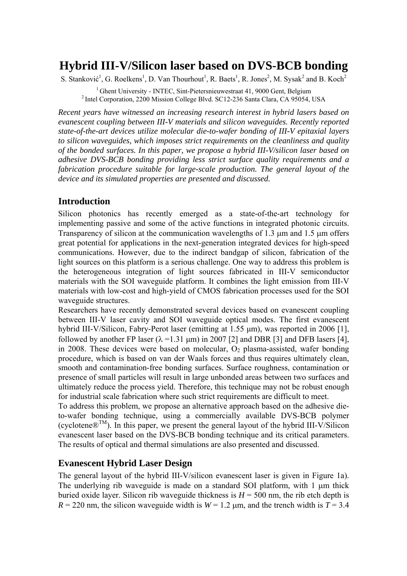# **Hybrid III-V/Silicon laser based on DVS-BCB bonding**

S. Stanković<sup>1</sup>, G. Roelkens<sup>1</sup>, D. Van Thourhout<sup>1</sup>, R. Baets<sup>1</sup>, R. Jones<sup>2</sup>, M. Sysak<sup>2</sup> and B. Koch<sup>2</sup>

<sup>1</sup> Ghent University - INTEC, Sint-Pietersnieuwestraat 41, 9000 Gent, Belgium <sup>2</sup> Intel Corporation, 2200 Mission College Blvd. SC12-236 Santa Clara, CA 95054, USA

*Recent years have witnessed an increasing research interest in hybrid lasers based on evanescent coupling between III-V materials and silicon waveguides. Recently reported state-of-the-art devices utilize molecular die-to-wafer bonding of III-V epitaxial layers to silicon waveguides, which imposes strict requirements on the cleanliness and quality of the bonded surfaces. In this paper, we propose a hybrid III-V/silicon laser based on adhesive DVS-BCB bonding providing less strict surface quality requirements and a fabrication procedure suitable for large-scale production. The general layout of the device and its simulated properties are presented and discussed.* 

## **Introduction**

Silicon photonics has recently emerged as a state-of-the-art technology for implementing passive and some of the active functions in integrated photonic circuits. Transparency of silicon at the communication wavelengths of 1.3 µm and 1.5 µm offers great potential for applications in the next-generation integrated devices for high-speed communications. However, due to the indirect bandgap of silicon, fabrication of the light sources on this platform is a serious challenge. One way to address this problem is the heterogeneous integration of light sources fabricated in III-V semiconductor materials with the SOI waveguide platform. It combines the light emission from III-V materials with low-cost and high-yield of CMOS fabrication processes used for the SOI waveguide structures.

Researchers have recently demonstrated several devices based on evanescent coupling between III-V laser cavity and SOI waveguide optical modes. The first evanescent hybrid III-V/Silicon, Fabry-Perot laser (emitting at 1.55 µm), was reported in 2006 [1], followed by another FP laser ( $\lambda$  =1.31 µm) in 2007 [2] and DBR [3] and DFB lasers [4], in 2008. These devices were based on molecular,  $O<sub>2</sub>$  plasma-assisted, wafer bonding procedure, which is based on van der Waals forces and thus requires ultimately clean, smooth and contamination-free bonding surfaces. Surface roughness, contamination or presence of small particles will result in large unbonded areas between two surfaces and ultimately reduce the process yield. Therefore, this technique may not be robust enough for industrial scale fabrication where such strict requirements are difficult to meet.

To address this problem, we propose an alternative approach based on the adhesive dieto-wafer bonding technique, using a commercially available DVS-BCB polymer (cyclotene $\mathbb{R}^{TM}$ ). In this paper, we present the general layout of the hybrid III-V/Silicon evanescent laser based on the DVS-BCB bonding technique and its critical parameters. The results of optical and thermal simulations are also presented and discussed.

# **Evanescent Hybrid Laser Design**

The general layout of the hybrid III-V/silicon evanescent laser is given in Figure 1a). The underlying rib waveguide is made on a standard SOI platform, with 1 µm thick buried oxide layer. Silicon rib waveguide thickness is  $H = 500$  nm, the rib etch depth is  $R = 220$  nm, the silicon waveguide width is  $W = 1.2$  µm, and the trench width is  $T = 3.4$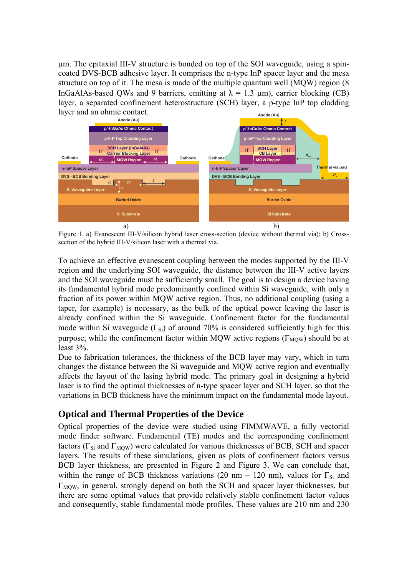µm. The epitaxial III-V structure is bonded on top of the SOI waveguide, using a spincoated DVS-BCB adhesive layer. It comprises the n-type InP spacer layer and the mesa structure on top of it. The mesa is made of the multiple quantum well (MQW) region (8 InGaAlAs-based QWs and 9 barriers, emitting at  $\lambda = 1.3 \mu m$ ), carrier blocking (CB) layer, a separated confinement heterostructure (SCH) layer, a p-type InP top cladding layer and an ohmic contact. **Anode (Au)**



Figure 1. a) Evanescent III-V/silicon hybrid laser cross-section (device without thermal via); b) Crosssection of the hybrid III-V/silicon laser with a thermal via.

To achieve an effective evanescent coupling between the modes supported by the III-V region and the underlying SOI waveguide, the distance between the III-V active layers and the SOI waveguide must be sufficiently small. The goal is to design a device having its fundamental hybrid mode predominantly confined within Si waveguide, with only a fraction of its power within MQW active region. Thus, no additional coupling (using a taper, for example) is necessary, as the bulk of the optical power leaving the laser is already confined within the Si waveguide. Confinement factor for the fundamental mode within Si waveguide ( $\Gamma_{\text{Si}}$ ) of around 70% is considered sufficiently high for this purpose, while the confinement factor within MQW active regions ( $\Gamma_{\text{MOW}}$ ) should be at least 3%.

Due to fabrication tolerances, the thickness of the BCB layer may vary, which in turn changes the distance between the Si waveguide and MQW active region and eventually affects the layout of the lasing hybrid mode. The primary goal in designing a hybrid laser is to find the optimal thicknesses of n-type spacer layer and SCH layer, so that the variations in BCB thickness have the minimum impact on the fundamental mode layout.

## **Optical and Thermal Properties of the Device**

Optical properties of the device were studied using FIMMWAVE, a fully vectorial mode finder software. Fundamental (TE) modes and the corresponding confinement factors ( $\Gamma_{\text{Si}}$  and  $\Gamma_{\text{MOW}}$ ) were calculated for various thicknesses of BCB, SCH and spacer layers. The results of these simulations, given as plots of confinement factors versus BCB layer thickness, are presented in Figure 2 and Figure 3. We can conclude that, within the range of BCB thickness variations (20 nm – 120 nm), values for  $\Gamma_{Si}$  and  $\Gamma_{\text{MOW}}$ , in general, strongly depend on both the SCH and spacer layer thicknesses, but there are some optimal values that provide relatively stable confinement factor values and consequently, stable fundamental mode profiles. These values are 210 nm and 230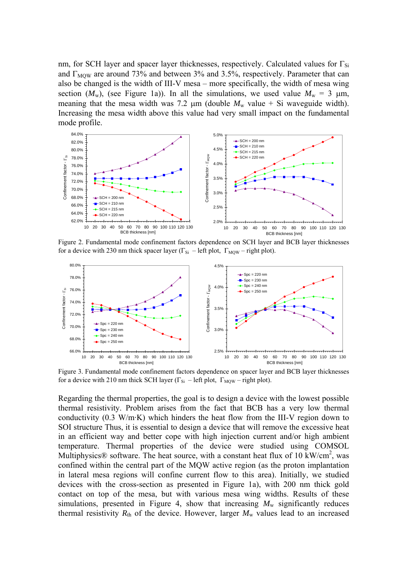nm, for SCH layer and spacer layer thicknesses, respectively. Calculated values for  $\Gamma_{\rm Si}$ and  $\Gamma_{\text{MOW}}$  are around 73% and between 3% and 3.5%, respectively. Parameter that can also be changed is the width of III-V mesa – more specifically, the width of mesa wing section  $(M_w)$ , (see Figure 1a)). In all the simulations, we used value  $M_w = 3 \mu m$ , meaning that the mesa width was 7.2  $\mu$ m (double  $M_w$  value + Si waveguide width). Increasing the mesa width above this value had very small impact on the fundamental mode profile.



Figure 2. Fundamental mode confinement factors dependence on SCH layer and BCB layer thicknesses for a device with 230 nm thick spacer layer ( $\Gamma_{\text{Si}}$  – left plot,  $\Gamma_{\text{MOW}}$  – right plot).



Figure 3. Fundamental mode confinement factors dependence on spacer layer and BCB layer thicknesses for a device with 210 nm thick SCH layer ( $\Gamma_{Si}$  – left plot,  $\Gamma_{MOW}$  – right plot).

Regarding the thermal properties, the goal is to design a device with the lowest possible thermal resistivity. Problem arises from the fact that BCB has a very low thermal conductivity (0.3 W/m·K) which hinders the heat flow from the III-V region down to SOI structure Thus, it is essential to design a device that will remove the excessive heat in an efficient way and better cope with high injection current and/or high ambient temperature. Thermal properties of the device were studied using COMSOL Multiphysics<sup>®</sup> software. The heat source, with a constant heat flux of 10 kW/cm<sup>2</sup>, was confined within the central part of the MQW active region (as the proton implantation in lateral mesa regions will confine current flow to this area). Initially, we studied devices with the cross-section as presented in Figure 1a), with 200 nm thick gold contact on top of the mesa, but with various mesa wing widths. Results of these simulations, presented in Figure 4, show that increasing  $M_w$  significantly reduces thermal resistivity  $R_{\text{th}}$  of the device. However, larger  $M_{\text{w}}$  values lead to an increased